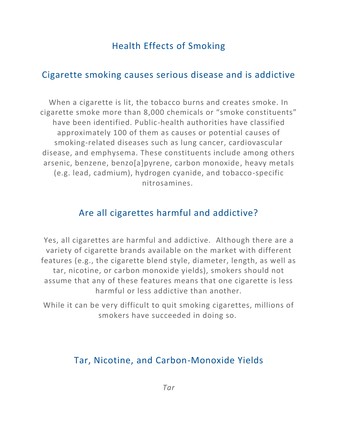# Health Effects of Smoking

### Cigarette smoking causes serious disease and is addictive

When a cigarette is lit, the tobacco burns and creates smoke. In cigarette smoke more than 8,000 chemicals or "smoke constituents" have been identified. Public-health authorities have classified approximately 100 of them as causes or potential causes of smoking-related diseases such as lung cancer, cardiovascular disease, and emphysema. These constituents include among others arsenic, benzene, benzo[a]pyrene, carbon monoxide, heavy metals (e.g. lead, cadmium), hydrogen cyanide, and tobacco-specific nitrosamines.

### Are all cigarettes harmful and addictive?

Yes, all cigarettes are harmful and addictive. Although there are a variety of cigarette brands available on the market with different features (e.g., the cigarette blend style, diameter, length, as well as tar, nicotine, or carbon monoxide yields), smokers should not assume that any of these features means that one cigarette is less harmful or less addictive than another.

While it can be very difficult to quit smoking cigarettes, millions of smokers have succeeded in doing so.

## Tar, Nicotine, and Carbon-Monoxide Yields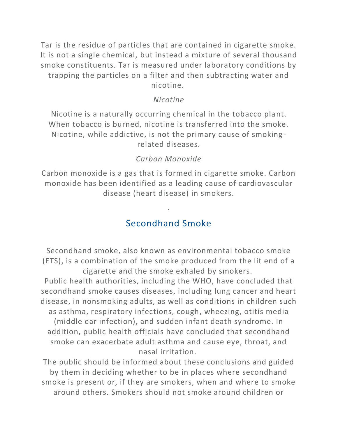Tar is the residue of particles that are contained in cigarette smoke. It is not a single chemical, but instead a mixture of several thousand smoke constituents. Tar is measured under laboratory conditions by trapping the particles on a filter and then subtracting water and nicotine.

#### *Nicotine*

Nicotine is a naturally occurring chemical in the tobacco plant. When tobacco is burned, nicotine is transferred into the smoke. Nicotine, while addictive, is not the primary cause of smoking related diseases.

### *Carbon Monoxide*

Carbon monoxide is a gas that is formed in cigarette smoke. Carbon monoxide has been identified as a leading cause of cardiovascular disease (heart disease) in smokers.

## Secondhand Smoke

.

Secondhand smoke, also known as environmental tobacco smoke (ETS), is a combination of the smoke produced from the lit end of a cigarette and the smoke exhaled by smokers.

Public health authorities, including the WHO, have concluded that secondhand smoke causes diseases, including lung cancer and heart disease, in nonsmoking adults, as well as conditions in children such as asthma, respiratory infections, cough, wheezing, otitis media (middle ear infection), and sudden infant death syndrome. In addition, public health officials have concluded that secondhand smoke can exacerbate adult asthma and cause eye, throat, and nasal irritation.

The public should be informed about these conclusions and guided by them in deciding whether to be in places where secondhand smoke is present or, if they are smokers, when and where to smoke around others. Smokers should not smoke around children or